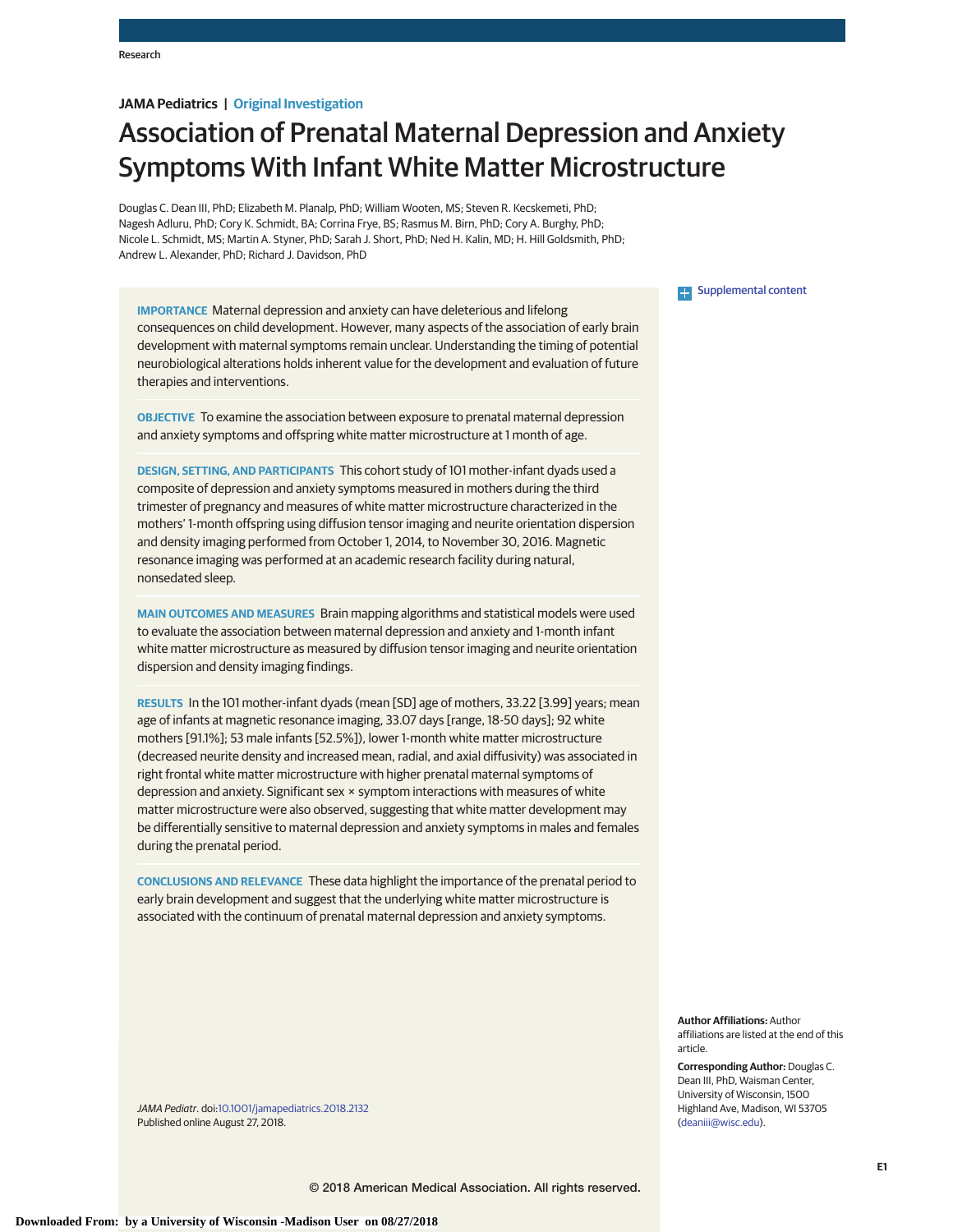## **JAMA Pediatrics | Original Investigation**

# Association of Prenatal Maternal Depression and Anxiety Symptoms With Infant White Matter Microstructure

Douglas C. Dean III, PhD; Elizabeth M. Planalp, PhD; William Wooten, MS; Steven R. Kecskemeti, PhD; Nagesh Adluru, PhD; Cory K. Schmidt, BA; Corrina Frye, BS; Rasmus M. Birn, PhD; Cory A. Burghy, PhD; Nicole L. Schmidt, MS; Martin A. Styner, PhD; Sarah J. Short, PhD; Ned H. Kalin, MD; H. Hill Goldsmith, PhD; Andrew L. Alexander, PhD; Richard J. Davidson, PhD

**IMPORTANCE** Maternal depression and anxiety can have deleterious and lifelong consequences on child development. However, many aspects of the association of early brain development with maternal symptoms remain unclear. Understanding the timing of potential neurobiological alterations holds inherent value for the development and evaluation of future therapies and interventions.

**OBJECTIVE** To examine the association between exposure to prenatal maternal depression and anxiety symptoms and offspring white matter microstructure at 1 month of age.

**DESIGN, SETTING, AND PARTICIPANTS** This cohort study of 101 mother-infant dyads used a composite of depression and anxiety symptoms measured in mothers during the third trimester of pregnancy and measures of white matter microstructure characterized in the mothers' 1-month offspring using diffusion tensor imaging and neurite orientation dispersion and density imaging performed from October 1, 2014, to November 30, 2016. Magnetic resonance imaging was performed at an academic research facility during natural, nonsedated sleep.

**MAIN OUTCOMES AND MEASURES** Brain mapping algorithms and statistical models were used to evaluate the association between maternal depression and anxiety and 1-month infant white matter microstructure as measured by diffusion tensor imaging and neurite orientation dispersion and density imaging findings.

**RESULTS** In the 101 mother-infant dyads (mean [SD] age of mothers, 33.22 [3.99] years; mean age of infants at magnetic resonance imaging, 33.07 days [range, 18-50 days]; 92 white mothers [91.1%]; 53 male infants [52.5%]), lower 1-month white matter microstructure (decreased neurite density and increased mean, radial, and axial diffusivity) was associated in right frontal white matter microstructure with higher prenatal maternal symptoms of depression and anxiety. Significant sex × symptom interactions with measures of white matter microstructure were also observed, suggesting that white matter development may be differentially sensitive to maternal depression and anxiety symptoms in males and females during the prenatal period.

**CONCLUSIONS AND RELEVANCE** These data highlight the importance of the prenatal period to early brain development and suggest that the underlying white matter microstructure is associated with the continuum of prenatal maternal depression and anxiety symptoms.

JAMA Pediatr. doi[:10.1001/jamapediatrics.2018.2132](https://jama.jamanetwork.com/article.aspx?doi=10.1001/jamapediatrics.2018.2132&utm_campaign=articlePDF%26utm_medium=articlePDFlink%26utm_source=articlePDF%26utm_content=jamapediatrics.2018.2132) Published online August 27, 2018.

## **Supplemental content**

**Author Affiliations:** Author affiliations are listed at the end of this article.

**Corresponding Author:** Douglas C. Dean III, PhD, Waisman Center, University of Wisconsin, 1500 Highland Ave, Madison, WI 53705 [\(deaniii@wisc.edu\)](mailto:deaniii@wisc.edu).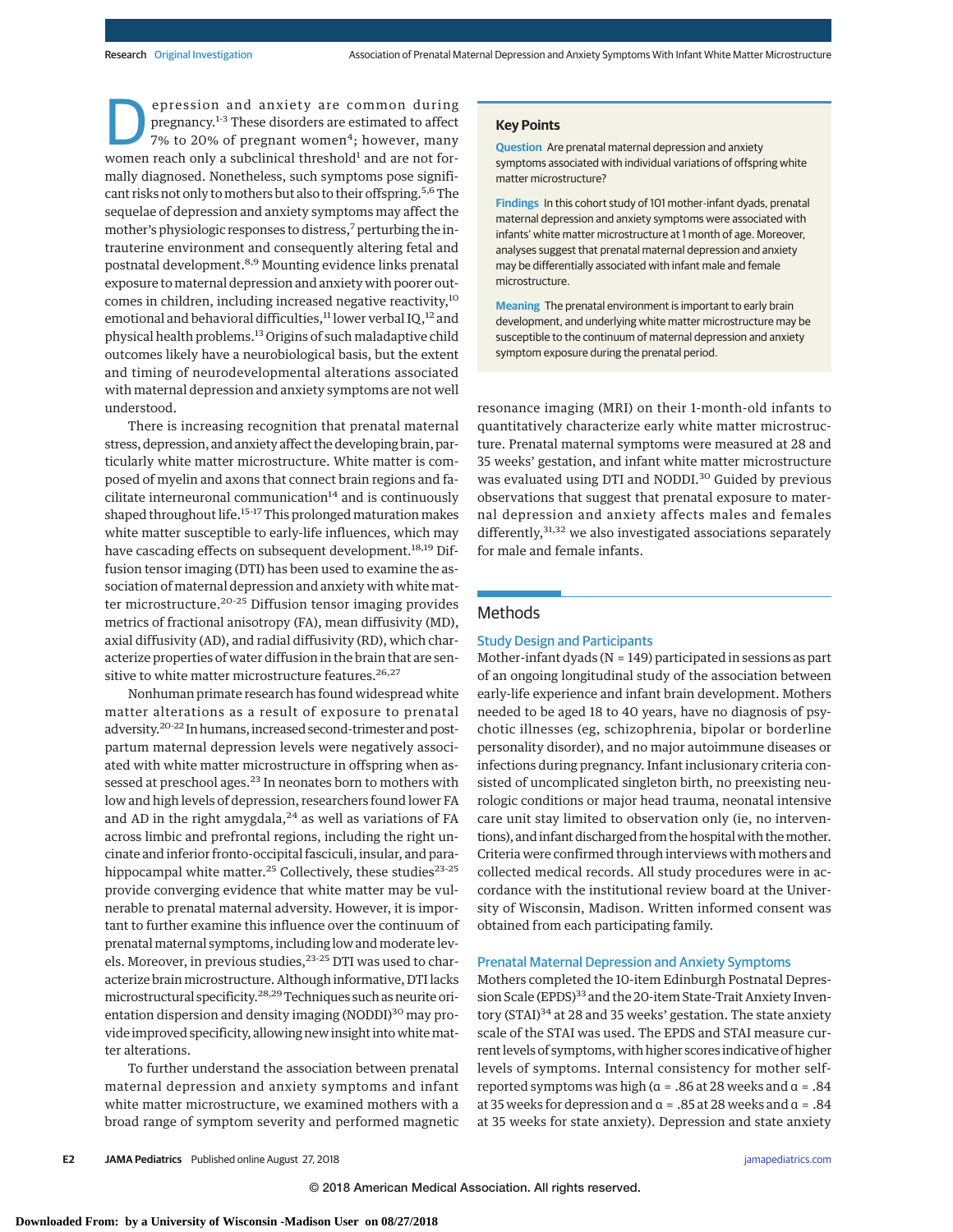**Depression and anxiety are common during<br>pregnancy.**<sup>1-3</sup> These disorders are estimated to affect<br>7% to 20% of pregnant women<sup>4</sup>; however, many<br>women reach only a subclinical thresholdl and are not forpregnancy.<sup>1-3</sup> These disorders are estimated to affect 7% to 20% of pregnant women<sup>4</sup>; however, many women reach only a subclinical threshold<sup>1</sup> and are not formally diagnosed. Nonetheless, such symptoms pose significant risks not only to mothers but also to their offspring.<sup>5,6</sup>The sequelae of depression and anxiety symptoms may affect the mother's physiologic responses to distress,<sup>7</sup> perturbing the intrauterine environment and consequently altering fetal and postnatal development.<sup>8,9</sup> Mounting evidence links prenatal exposure to maternal depression and anxiety with poorer outcomes in children, including increased negative reactivity,<sup>10</sup> emotional and behavioral difficulties, $^{11}$  lower verbal IQ, $^{12}$  and physical health problems.13 Origins of such maladaptive child outcomes likely have a neurobiological basis, but the extent and timing of neurodevelopmental alterations associated with maternal depression and anxiety symptoms are not well understood.

There is increasing recognition that prenatal maternal stress, depression, and anxiety affect the developing brain, particularly white matter microstructure. White matter is composed of myelin and axons that connect brain regions and facilitate interneuronal communication $14$  and is continuously shaped throughout life.<sup>15-17</sup> This prolonged maturation makes white matter susceptible to early-life influences, which may have cascading effects on subsequent development.<sup>18,19</sup> Diffusion tensor imaging (DTI) has been used to examine the association of maternal depression and anxiety with white matter microstructure.<sup>20-25</sup> Diffusion tensor imaging provides metrics of fractional anisotropy (FA), mean diffusivity (MD), axial diffusivity (AD), and radial diffusivity (RD), which characterize properties of water diffusion in the brain that are sensitive to white matter microstructure features.<sup>26,27</sup>

Nonhuman primate research has found widespread white matter alterations as a result of exposure to prenatal adversity.20-22 In humans, increased second-trimester and postpartum maternal depression levels were negatively associated with white matter microstructure in offspring when assessed at preschool ages.<sup>23</sup> In neonates born to mothers with low and high levels of depression, researchers found lower FA and AD in the right amygdala, $24$  as well as variations of FA across limbic and prefrontal regions, including the right uncinate and inferior fronto-occipital fasciculi, insular, and parahippocampal white matter.<sup>25</sup> Collectively, these studies<sup>23-25</sup> provide converging evidence that white matter may be vulnerable to prenatal maternal adversity. However, it is important to further examine this influence over the continuum of prenatal maternal symptoms, including low and moderate levels. Moreover, in previous studies,<sup>23-25</sup> DTI was used to characterize brain microstructure. Although informative, DTI lacks microstructural specificity.<sup>28,29</sup> Techniques such as neurite orientation dispersion and density imaging  $(NODDI)^{30}$  may provide improved specificity, allowing new insight into whitematter alterations.

To further understand the association between prenatal maternal depression and anxiety symptoms and infant white matter microstructure, we examined mothers with a broad range of symptom severity and performed magnetic

#### **Key Points**

**Question** Are prenatal maternal depression and anxiety symptoms associated with individual variations of offspring white matter microstructure?

**Findings** In this cohort study of 101 mother-infant dyads, prenatal maternal depression and anxiety symptoms were associated with infants' white matter microstructure at 1 month of age. Moreover, analyses suggest that prenatal maternal depression and anxiety may be differentially associated with infant male and female microstructure.

**Meaning** The prenatal environment is important to early brain development, and underlying white matter microstructure may be susceptible to the continuum of maternal depression and anxiety symptom exposure during the prenatal period.

resonance imaging (MRI) on their 1-month-old infants to quantitatively characterize early white matter microstructure. Prenatal maternal symptoms were measured at 28 and 35 weeks' gestation, and infant white matter microstructure was evaluated using DTI and NODDI.<sup>30</sup> Guided by previous observations that suggest that prenatal exposure to maternal depression and anxiety affects males and females differently, $31,32$  we also investigated associations separately for male and female infants.

## **Methods**

## Study Design and Participants

Mother-infant dyads (N = 149) participated in sessions as part of an ongoing longitudinal study of the association between early-life experience and infant brain development. Mothers needed to be aged 18 to 40 years, have no diagnosis of psychotic illnesses (eg, schizophrenia, bipolar or borderline personality disorder), and no major autoimmune diseases or infections during pregnancy. Infant inclusionary criteria consisted of uncomplicated singleton birth, no preexisting neurologic conditions or major head trauma, neonatal intensive care unit stay limited to observation only (ie, no interventions), and infant discharged from the hospital with the mother. Criteria were confirmed through interviews with mothers and collected medical records. All study procedures were in accordance with the institutional review board at the University of Wisconsin, Madison. Written informed consent was obtained from each participating family.

#### Prenatal Maternal Depression and Anxiety Symptoms

Mothers completed the 10-item Edinburgh Postnatal Depression Scale (EPDS)<sup>33</sup> and the 20-item State-Trait Anxiety Inventory (STAI)<sup>34</sup> at 28 and 35 weeks' gestation. The state anxiety scale of the STAI was used. The EPDS and STAI measure current levels of symptoms, with higher scores indicative of higher levels of symptoms. Internal consistency for mother selfreported symptoms was high ( $\alpha$  = .86 at 28 weeks and  $\alpha$  = .84 at 35 weeks for depression and α = .85 at 28 weeks and α = .84 at 35 weeks for state anxiety). Depression and state anxiety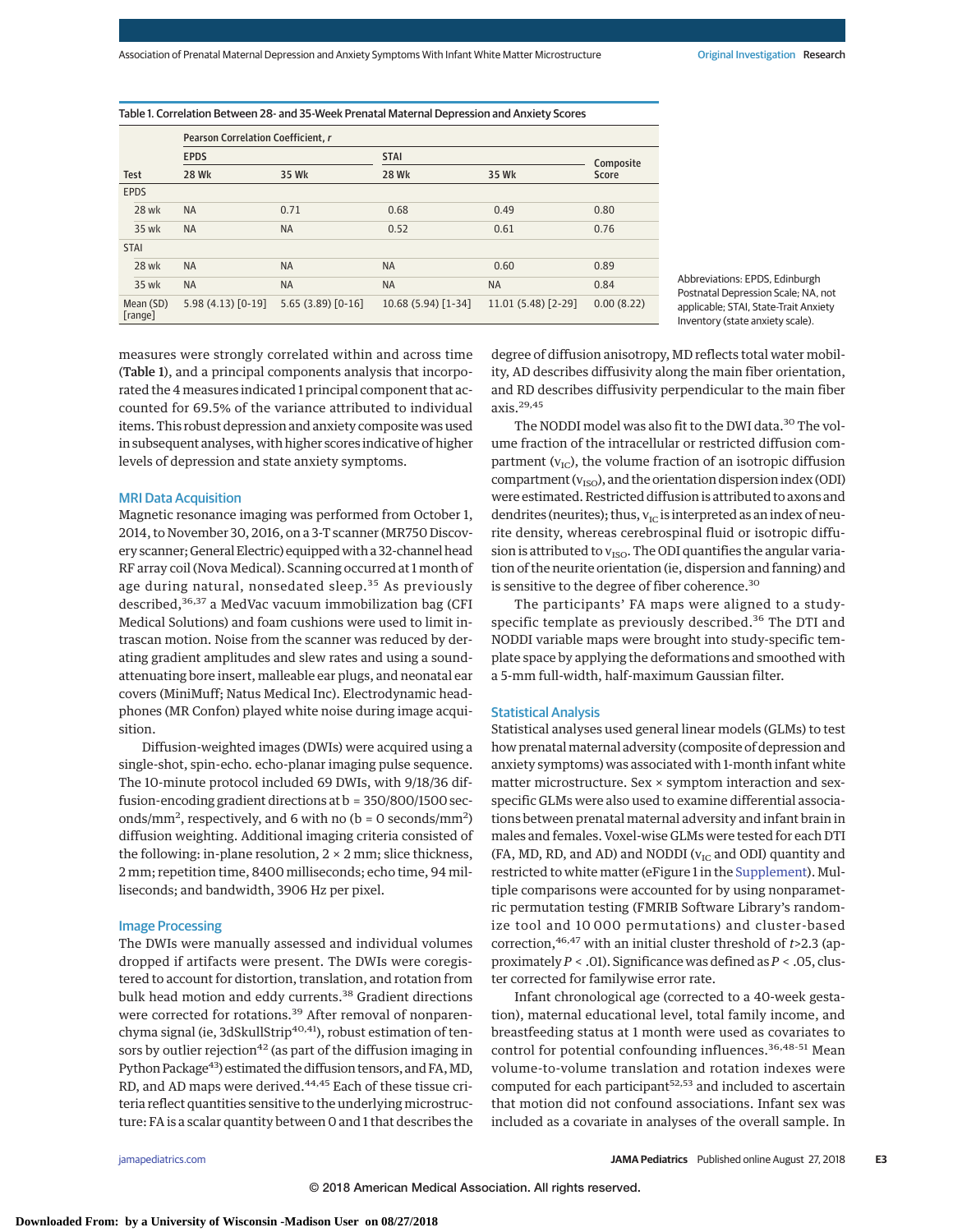Association of Prenatal Maternal Depression and Anxiety Symptoms With Infant White Matter Microstructure **Original Investigation Research** 

| <b>Test</b>          | Pearson Correlation Coefficient, r |                     |                     |                     |            |  |
|----------------------|------------------------------------|---------------------|---------------------|---------------------|------------|--|
|                      | <b>EPDS</b>                        |                     | <b>STAI</b>         |                     | Composite  |  |
|                      | <b>28 Wk</b>                       | 35 Wk               | <b>28 Wk</b>        | 35 Wk               | Score      |  |
| <b>EPDS</b>          |                                    |                     |                     |                     |            |  |
| <b>28 wk</b>         | <b>NA</b>                          | 0.71                | 0.68                | 0.49                | 0.80       |  |
| 35 wk                | <b>NA</b>                          | <b>NA</b>           | 0.52                | 0.61                | 0.76       |  |
| <b>STAI</b>          |                                    |                     |                     |                     |            |  |
| 28 wk                | <b>NA</b>                          | <b>NA</b>           | <b>NA</b>           | 0.60                | 0.89       |  |
| 35 wk                | <b>NA</b>                          | <b>NA</b>           | <b>NA</b>           | <b>NA</b>           | 0.84       |  |
| Mean (SD)<br>[range] | $5.98(4.13)[0-19]$                 | $5.65(3.89)$ [0-16] | 10.68 (5.94) [1-34] | $11.01(5.48)[2-29]$ | 0.00(8.22) |  |

Abbreviations: EPDS, Edinburgh Postnatal Depression Scale; NA, not applicable; STAI, State-Trait Anxiety Inventory (state anxiety scale).

measures were strongly correlated within and across time (Table 1), and a principal components analysis that incorporated the 4 measures indicated 1 principal component that accounted for 69.5% of the variance attributed to individual items. This robust depression and anxiety composite was used in subsequent analyses, with higher scores indicative of higher levels of depression and state anxiety symptoms.

#### MRI Data Acquisition

Magnetic resonance imaging was performed from October 1, 2014, to November 30, 2016, on a 3-T scanner (MR750 Discovery scanner; General Electric) equipped with a 32-channel head RF array coil (Nova Medical). Scanning occurred at 1 month of age during natural, nonsedated sleep.<sup>35</sup> As previously described,<sup>36,37</sup> a MedVac vacuum immobilization bag (CFI Medical Solutions) and foam cushions were used to limit intrascan motion. Noise from the scanner was reduced by derating gradient amplitudes and slew rates and using a soundattenuating bore insert, malleable ear plugs, and neonatal ear covers (MiniMuff; Natus Medical Inc). Electrodynamic headphones (MR Confon) played white noise during image acquisition.

Diffusion-weighted images (DWIs) were acquired using a single-shot, spin-echo. echo-planar imaging pulse sequence. The 10-minute protocol included 69 DWIs, with 9/18/36 diffusion-encoding gradient directions at b = 350/800/1500 seconds/mm<sup>2</sup>, respectively, and 6 with no ( $b = 0$  seconds/mm<sup>2</sup>) diffusion weighting. Additional imaging criteria consisted of the following: in-plane resolution,  $2 \times 2$  mm; slice thickness, 2 mm; repetition time, 8400 milliseconds; echo time, 94 milliseconds; and bandwidth, 3906 Hz per pixel.

#### Image Processing

The DWIs were manually assessed and individual volumes dropped if artifacts were present. The DWIs were coregistered to account for distortion, translation, and rotation from bulk head motion and eddy currents.<sup>38</sup> Gradient directions were corrected for rotations.<sup>39</sup> After removal of nonparenchyma signal (ie, 3dSkullStrip<sup>40,41</sup>), robust estimation of tensors by outlier rejection<sup>42</sup> (as part of the diffusion imaging in Python Package<sup>43</sup>) estimated the diffusion tensors, and FA, MD, RD, and AD maps were derived.<sup>44,45</sup> Each of these tissue criteria reflect quantities sensitive to the underlying microstructure: FA is a scalar quantity between 0 and 1 that describes the

degree of diffusion anisotropy, MD reflects total water mobility, AD describes diffusivity along the main fiber orientation, and RD describes diffusivity perpendicular to the main fiber axis.29,45

The NODDI model was also fit to the DWI data.<sup>30</sup> The volume fraction of the intracellular or restricted diffusion compartment ( $v_{\text{IC}}$ ), the volume fraction of an isotropic diffusion compartment ( $v_{\text{ISO}}$ ), and the orientation dispersion index (ODI) were estimated. Restricted diffusion is attributed to axons and dendrites (neurites); thus,  $v_{\text{IC}}$  is interpreted as an index of neurite density, whereas cerebrospinal fluid or isotropic diffusion is attributed to  $v_{\rm ISO}$ . The ODI quantifies the angular variation of the neurite orientation (ie, dispersion and fanning) and is sensitive to the degree of fiber coherence.<sup>30</sup>

The participants' FA maps were aligned to a studyspecific template as previously described.<sup>36</sup> The DTI and NODDI variable maps were brought into study-specific template space by applying the deformations and smoothed with a 5-mm full-width, half-maximum Gaussian filter.

#### Statistical Analysis

Statistical analyses used general linear models (GLMs) to test how prenatal maternal adversity (composite of depression and anxiety symptoms) was associated with 1-month infant white matter microstructure. Sex × symptom interaction and sexspecific GLMs were also used to examine differential associations between prenatal maternal adversity and infant brain in males and females. Voxel-wise GLMs were tested for each DTI (FA, MD, RD, and AD) and NODDI ( $v_{IC}$  and ODI) quantity and restricted to white matter (eFigure 1 in the [Supplement\)](https://jama.jamanetwork.com/article.aspx?doi=10.1001/jamapediatrics.2018.2132&utm_campaign=articlePDF%26utm_medium=articlePDFlink%26utm_source=articlePDF%26utm_content=jamapediatrics.2018.2132). Multiple comparisons were accounted for by using nonparametric permutation testing (FMRIB Software Library's randomize tool and 10 000 permutations) and cluster-based correction,46,47 with an initial cluster threshold of *t*>2.3 (approximately *P* < .01). Significance was defined as *P* < .05, cluster corrected for familywise error rate.

Infant chronological age (corrected to a 40-week gestation), maternal educational level, total family income, and breastfeeding status at 1 month were used as covariates to control for potential confounding influences.<sup>36,48-51</sup> Mean volume-to-volume translation and rotation indexes were computed for each participant<sup>52,53</sup> and included to ascertain that motion did not confound associations. Infant sex was included as a covariate in analyses of the overall sample. In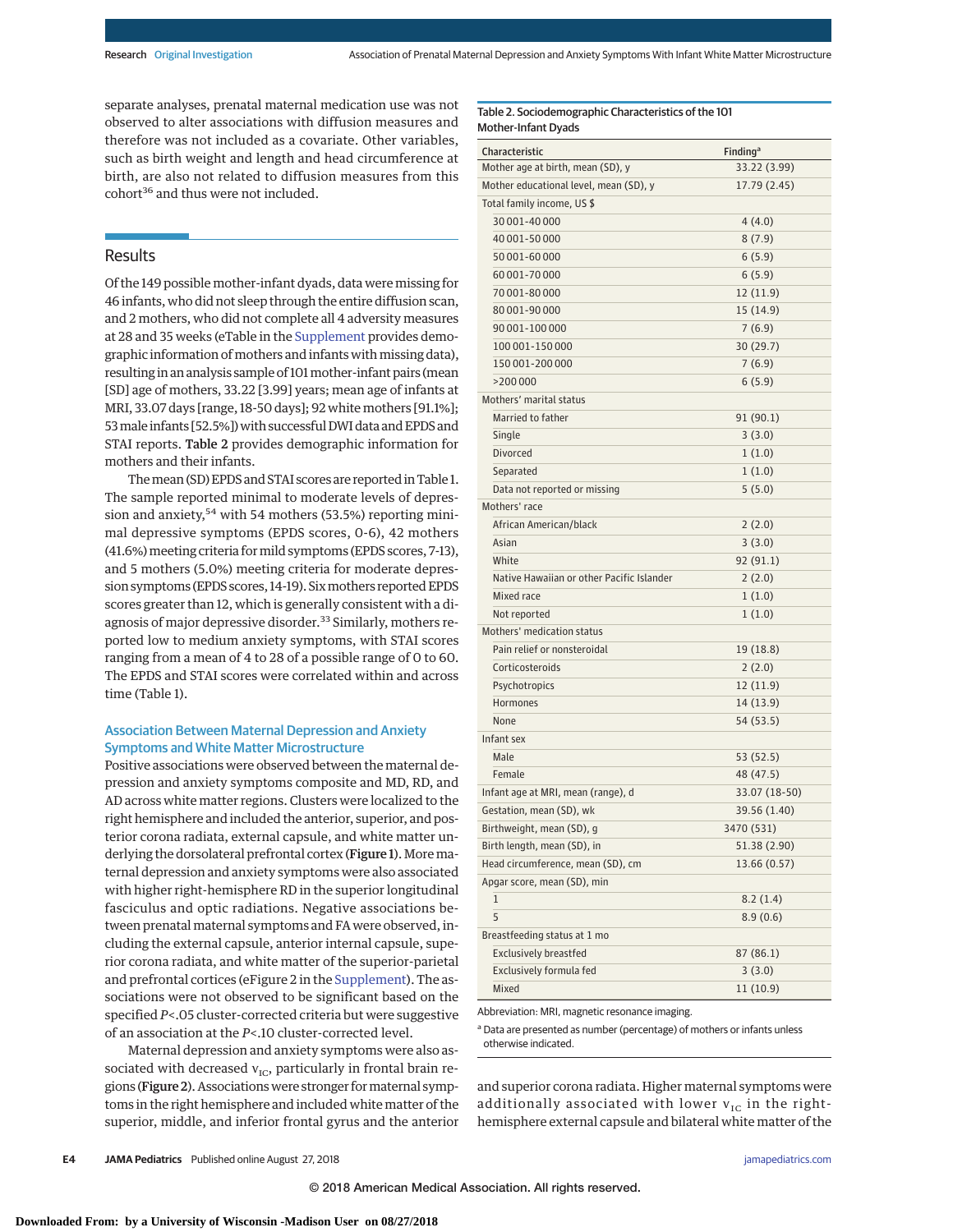Mother-Infant Dyads

Table 2. Sociodemographic Characteristics of the 101

separate analyses, prenatal maternal medication use was not observed to alter associations with diffusion measures and therefore was not included as a covariate. Other variables, such as birth weight and length and head circumference at birth, are also not related to diffusion measures from this cohort<sup>36</sup> and thus were not included.

# Results

Of the 149 possible mother-infant dyads, data were missing for 46 infants, who did not sleep through the entire diffusion scan, and 2 mothers, who did not complete all 4 adversity measures at 28 and 35 weeks (eTable in the [Supplement](https://jama.jamanetwork.com/article.aspx?doi=10.1001/jamapediatrics.2018.2132&utm_campaign=articlePDF%26utm_medium=articlePDFlink%26utm_source=articlePDF%26utm_content=jamapediatrics.2018.2132) provides demographic information of mothers and infants with missing data), resulting in an analysis sample of 101mother-infant pairs (mean [SD] age of mothers, 33.22 [3.99] years; mean age of infants at MRI, 33.07 days [range, 18-50 days]; 92 white mothers [91.1%]; 53 male infants [52.5%]) with successful DWI data and EPDS and STAI reports. Table 2 provides demographic information for mothers and their infants.

The mean (SD) EPDS and STAI scores are reported in Table 1. The sample reported minimal to moderate levels of depression and anxiety,  $54$  with 54 mothers (53.5%) reporting minimal depressive symptoms (EPDS scores, 0-6), 42 mothers (41.6%) meeting criteria for mild symptoms (EPDS scores, 7-13), and 5 mothers (5.0%) meeting criteria for moderate depression symptoms (EPDS scores, 14-19). Six mothers reported EPDS scores greater than 12, which is generally consistent with a diagnosis of major depressive disorder.<sup>33</sup> Similarly, mothers reported low to medium anxiety symptoms, with STAI scores ranging from a mean of 4 to 28 of a possible range of 0 to 60. The EPDS and STAI scores were correlated within and across time (Table 1).

## Association Between Maternal Depression and Anxiety Symptoms and White Matter Microstructure

Positive associations were observed between the maternal depression and anxiety symptoms composite and MD, RD, and AD across white matter regions. Clusters were localized to the right hemisphere and included the anterior, superior, and posterior corona radiata, external capsule, and white matter underlying the dorsolateral prefrontal cortex (Figure 1). More maternal depression and anxiety symptoms were also associated with higher right-hemisphere RD in the superior longitudinal fasciculus and optic radiations. Negative associations between prenatal maternal symptoms and FA were observed, including the external capsule, anterior internal capsule, superior corona radiata, and white matter of the superior-parietal and prefrontal cortices (eFigure 2 in the [Supplement\)](https://jama.jamanetwork.com/article.aspx?doi=10.1001/jamapediatrics.2018.2132&utm_campaign=articlePDF%26utm_medium=articlePDFlink%26utm_source=articlePDF%26utm_content=jamapediatrics.2018.2132). The associations were not observed to be significant based on the specified *P*<.05 cluster-corrected criteria but were suggestive of an association at the *P*<.10 cluster-corrected level.

Maternal depression and anxiety symptoms were also associated with decreased  $v_{IC}$ , particularly in frontal brain regions (Figure 2). Associations were stronger for maternal symptoms in the right hemisphere and included white matter of the superior, middle, and inferior frontal gyrus and the anterior

| Characteristic                            | <b>Finding</b> <sup>a</sup> |  |  |  |
|-------------------------------------------|-----------------------------|--|--|--|
| Mother age at birth, mean (SD), y         | 33.22 (3.99)                |  |  |  |
| Mother educational level, mean (SD), y    | 17.79 (2.45)                |  |  |  |
| Total family income, US \$                |                             |  |  |  |
| 30 001-40 000                             | 4(4.0)                      |  |  |  |
| 40 001-50 000                             | 8(7.9)                      |  |  |  |
| 50 001-60 000                             | 6(5.9)                      |  |  |  |
| 60 001-70 000                             | 6(5.9)                      |  |  |  |
| 70 001-80 000                             | 12 (11.9)                   |  |  |  |
| 80 001-90 000                             | 15 (14.9)                   |  |  |  |
| 90 001-100 000                            | 7(6.9)                      |  |  |  |
| 100 001 - 150 000                         | 30 (29.7)                   |  |  |  |
| 150 001-200 000                           | 7(6.9)                      |  |  |  |
| >200 000                                  | 6(5.9)                      |  |  |  |
| Mothers' marital status                   |                             |  |  |  |
| Married to father                         | 91 (90.1)                   |  |  |  |
| Single                                    | 3(3.0)                      |  |  |  |
| Divorced                                  | 1(1.0)                      |  |  |  |
| Separated                                 | 1(1.0)                      |  |  |  |
| Data not reported or missing              | 5(5.0)                      |  |  |  |
| Mothers' race                             |                             |  |  |  |
| African American/black                    | 2(2.0)                      |  |  |  |
| Asian                                     | 3(3.0)                      |  |  |  |
| White                                     | 92(91.1)                    |  |  |  |
| Native Hawaiian or other Pacific Islander | 2(2.0)                      |  |  |  |
| Mixed race                                | 1(1.0)                      |  |  |  |
| Not reported                              | 1(1.0)                      |  |  |  |
| Mothers' medication status                |                             |  |  |  |
| Pain relief or nonsteroidal               | 19 (18.8)                   |  |  |  |
| Corticosteroids                           | 2(2.0)                      |  |  |  |
| Psychotropics                             | 12 (11.9)                   |  |  |  |
| Hormones                                  | 14 (13.9)                   |  |  |  |
| None                                      | 54 (53.5)                   |  |  |  |
| Infant sex                                |                             |  |  |  |
| Male                                      | 53 (52.5)                   |  |  |  |
| Female                                    | 48 (47.5)                   |  |  |  |
| Infant age at MRI, mean (range), d        | 33.07 (18-50)               |  |  |  |
| Gestation, mean (SD), wk                  | 39.56 (1.40)                |  |  |  |
| Birthweight, mean (SD), g                 | 3470 (531)                  |  |  |  |
| Birth length, mean (SD), in               | 51.38 (2.90)                |  |  |  |
| Head circumference, mean (SD), cm         | 13.66 (0.57)                |  |  |  |
| Apgar score, mean (SD), min               |                             |  |  |  |
| $\mathbf 1$                               | 8.2(1.4)                    |  |  |  |
| 5                                         | 8.9(0.6)                    |  |  |  |
| Breastfeeding status at 1 mo              |                             |  |  |  |
| <b>Exclusively breastfed</b>              | 87 (86.1)                   |  |  |  |
| Exclusively formula fed                   | 3(3.0)                      |  |  |  |
| Mixed                                     | 11 (10.9)                   |  |  |  |

Abbreviation: MRI, magnetic resonance imaging.

<sup>a</sup> Data are presented as number (percentage) of mothers or infants unless otherwise indicated.

and superior corona radiata. Higher maternal symptoms were additionally associated with lower  $v_{\text{IC}}$  in the righthemisphere external capsule and bilateral white matter of the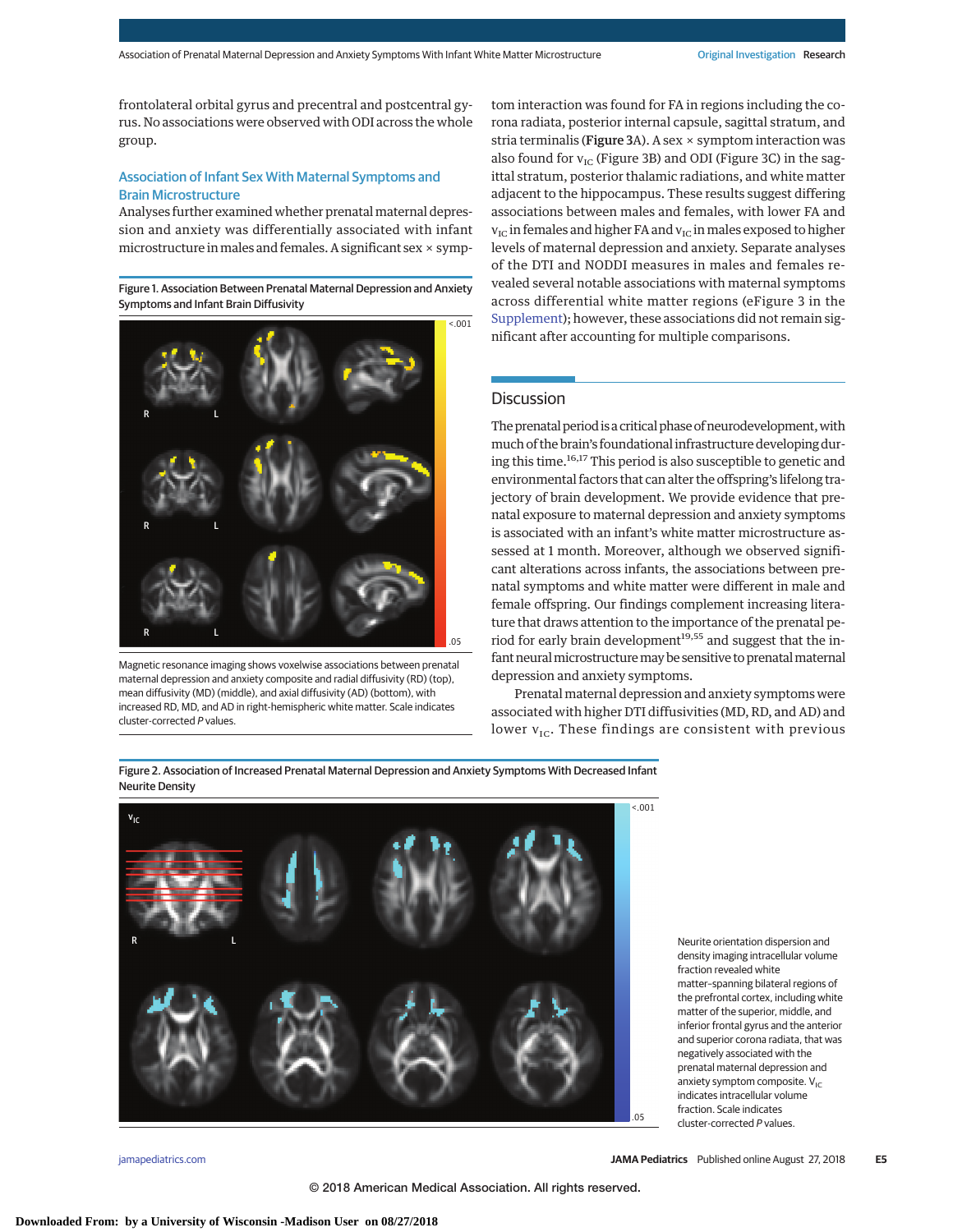frontolateral orbital gyrus and precentral and postcentral gyrus. No associations were observed with ODI across the whole group.

## Association of Infant Sex With Maternal Symptoms and Brain Microstructure

Analyses further examined whether prenatal maternal depression and anxiety was differentially associated with infant microstructure in males and females. A significant sex  $\times$  symp-

Figure 1. Association Between Prenatal Maternal Depression and Anxiety Symptoms and Infant Brain Diffusivity



Magnetic resonance imaging shows voxelwise associations between prenatal maternal depression and anxiety composite and radial diffusivity (RD) (top), mean diffusivity (MD) (middle), and axial diffusivity (AD) (bottom), with increased RD, MD, and AD in right-hemispheric white matter. Scale indicates cluster-corrected P values.

tom interaction was found for FA in regions including the corona radiata, posterior internal capsule, sagittal stratum, and stria terminalis (Figure 3A). A sex  $\times$  symptom interaction was also found for  $v_{\text{IC}}$  (Figure 3B) and ODI (Figure 3C) in the sagittal stratum, posterior thalamic radiations, and white matter adjacent to the hippocampus. These results suggest differing associations between males and females, with lower FA and  $v_{\text{IC}}$  in females and higher FA and  $v_{\text{IC}}$  in males exposed to higher levels of maternal depression and anxiety. Separate analyses of the DTI and NODDI measures in males and females revealed several notable associations with maternal symptoms across differential white matter regions (eFigure 3 in the [Supplement\)](https://jama.jamanetwork.com/article.aspx?doi=10.1001/jamapediatrics.2018.2132&utm_campaign=articlePDF%26utm_medium=articlePDFlink%26utm_source=articlePDF%26utm_content=jamapediatrics.2018.2132); however, these associations did not remain significant after accounting for multiple comparisons.

## Discussion

The prenatal period is a critical phase of neurodevelopment, with much of the brain's foundational infrastructure developing during this time.16,17 This period is also susceptible to genetic and environmental factors that can alter the offspring's lifelong trajectory of brain development. We provide evidence that prenatal exposure to maternal depression and anxiety symptoms is associated with an infant's white matter microstructure assessed at 1 month. Moreover, although we observed significant alterations across infants, the associations between prenatal symptoms and white matter were different in male and female offspring. Our findings complement increasing literature that draws attention to the importance of the prenatal period for early brain development<sup>19,55</sup> and suggest that the infant neural microstructure may be sensitive to prenatal maternal depression and anxiety symptoms.

Prenatal maternal depression and anxiety symptoms were associated with higher DTI diffusivities (MD, RD, and AD) and lower  $v_{\text{IC}}$ . These findings are consistent with previous

Figure 2. Association of Increased Prenatal Maternal Depression and Anxiety Symptoms With Decreased Infant Neurite Density



density imaging intracellular volume fraction revealed white matter–spanning bilateral regions of the prefrontal cortex, including white matter of the superior, middle, and inferior frontal gyrus and the anterior and superior corona radiata, that was negatively associated with the prenatal maternal depression and anxiety symptom composite.  $V_{IC}$ indicates intracellular volume fraction. Scale indicates cluster-corrected P values.

Neurite orientation dispersion and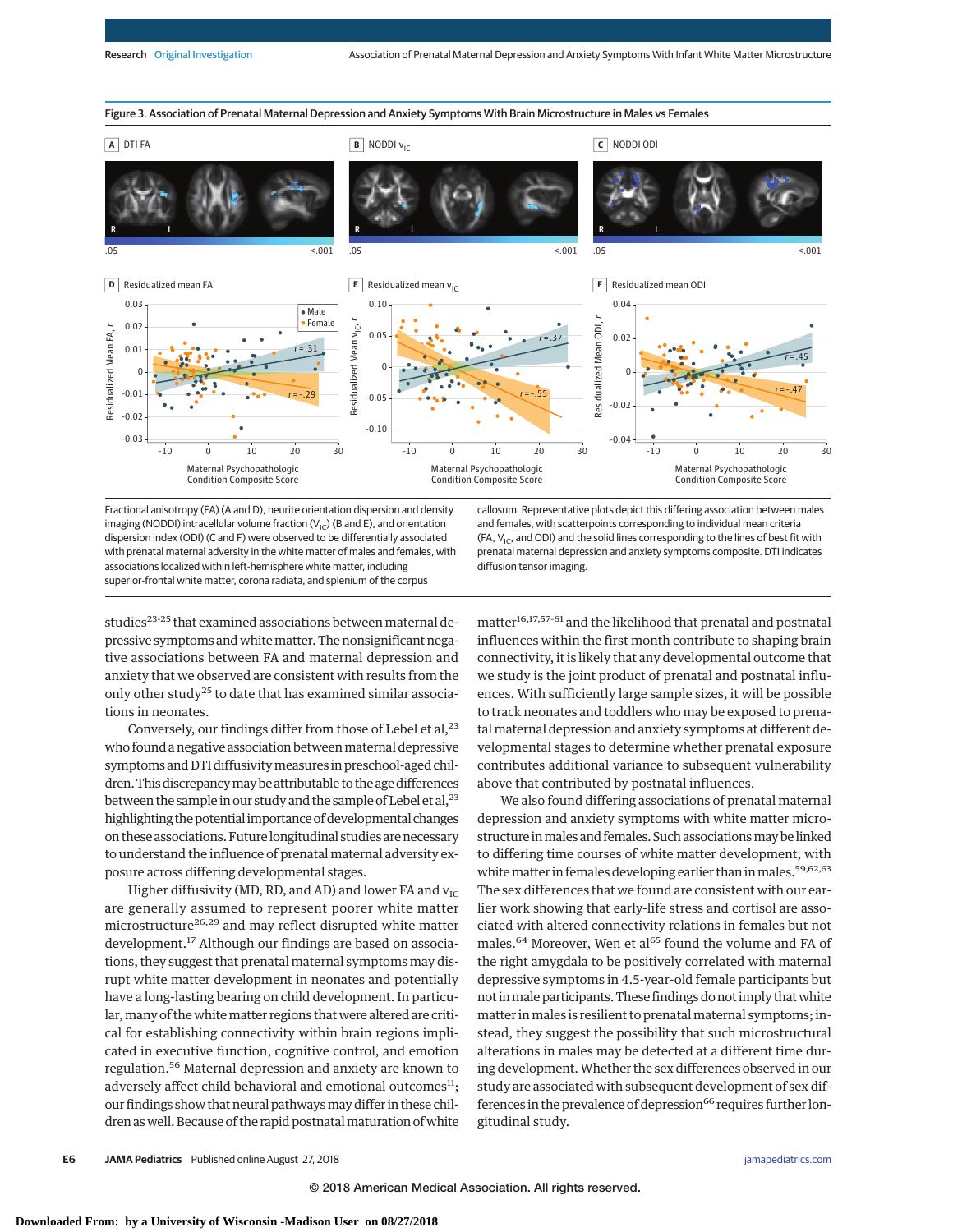

Fractional anisotropy (FA) (A and D), neurite orientation dispersion and density imaging (NODDI) intracellular volume fraction  $(V_{\text{IC}})$  (B and E), and orientation dispersion index (ODI) (C and F) were observed to be differentially associated with prenatal maternal adversity in the white matter of males and females, with associations localized within left-hemisphere white matter, including superior-frontal white matter, corona radiata, and splenium of the corpus

callosum. Representative plots depict this differing association between males and females, with scatterpoints corresponding to individual mean criteria (FA,  $V_{IC}$ , and ODI) and the solid lines corresponding to the lines of best fit with prenatal maternal depression and anxiety symptoms composite. DTI indicates diffusion tensor imaging.

studies<sup>23-25</sup> that examined associations between maternal depressive symptoms and white matter. The nonsignificant negative associations between FA and maternal depression and anxiety that we observed are consistent with results from the only other study<sup>25</sup> to date that has examined similar associations in neonates.

Conversely, our findings differ from those of Lebel et al,  $23$ who found a negative association between maternal depressive symptoms and DTI diffusivity measures in preschool-aged children.This discrepancymay be attributable to the age differences between the sample in our study and the sample of Lebel et al,  $^{23}$ highlighting the potential importance of developmental changes on these associations. Future longitudinal studies are necessary to understand the influence of prenatal maternal adversity exposure across differing developmental stages.

Higher diffusivity (MD, RD, and AD) and lower FA and  $v_{\text{IC}}$ are generally assumed to represent poorer white matter microstructure<sup>26,29</sup> and may reflect disrupted white matter development.<sup>17</sup> Although our findings are based on associations, they suggest that prenatal maternal symptoms may disrupt white matter development in neonates and potentially have a long-lasting bearing on child development. In particular, many of the white matter regions that were altered are critical for establishing connectivity within brain regions implicated in executive function, cognitive control, and emotion regulation.<sup>56</sup> Maternal depression and anxiety are known to adversely affect child behavioral and emotional outcomes $<sup>11</sup>$ ;</sup> our findings show that neural pathwaysmay differ in these children as well. Because of the rapid postnatal maturation of white  $\rm matter^{16,17,57-61}$  and the likelihood that prenatal and postnatal influences within the first month contribute to shaping brain connectivity, it is likely that any developmental outcome that we study is the joint product of prenatal and postnatal influences. With sufficiently large sample sizes, it will be possible to track neonates and toddlers who may be exposed to prenatalmaternal depression and anxiety symptoms at different developmental stages to determine whether prenatal exposure contributes additional variance to subsequent vulnerability above that contributed by postnatal influences.

We also found differing associations of prenatal maternal depression and anxiety symptoms with white matter microstructure in males and females. Such associations may be linked to differing time courses of white matter development, with white matter in females developing earlier than in males.<sup>59,62,63</sup> The sex differences that we found are consistent with our earlier work showing that early-life stress and cortisol are associated with altered connectivity relations in females but not males.<sup>64</sup> Moreover, Wen et al<sup>65</sup> found the volume and FA of the right amygdala to be positively correlated with maternal depressive symptoms in 4.5-year-old female participants but not inmale participants. These findings do not imply that white matter in males is resilient to prenatal maternal symptoms; instead, they suggest the possibility that such microstructural alterations in males may be detected at a different time during development.Whether the sex differences observed in our study are associated with subsequent development of sex differences in the prevalence of depression<sup>66</sup> requires further longitudinal study.

**E6 JAMA Pediatrics** Published online August 27, 2018 **(Reprinted)** [jamapediatrics.com](http://www.jamapediatrics.com/?utm_campaign=articlePDF%26utm_medium=articlePDFlink%26utm_source=articlePDF%26utm_content=jamapediatrics.2018.2132)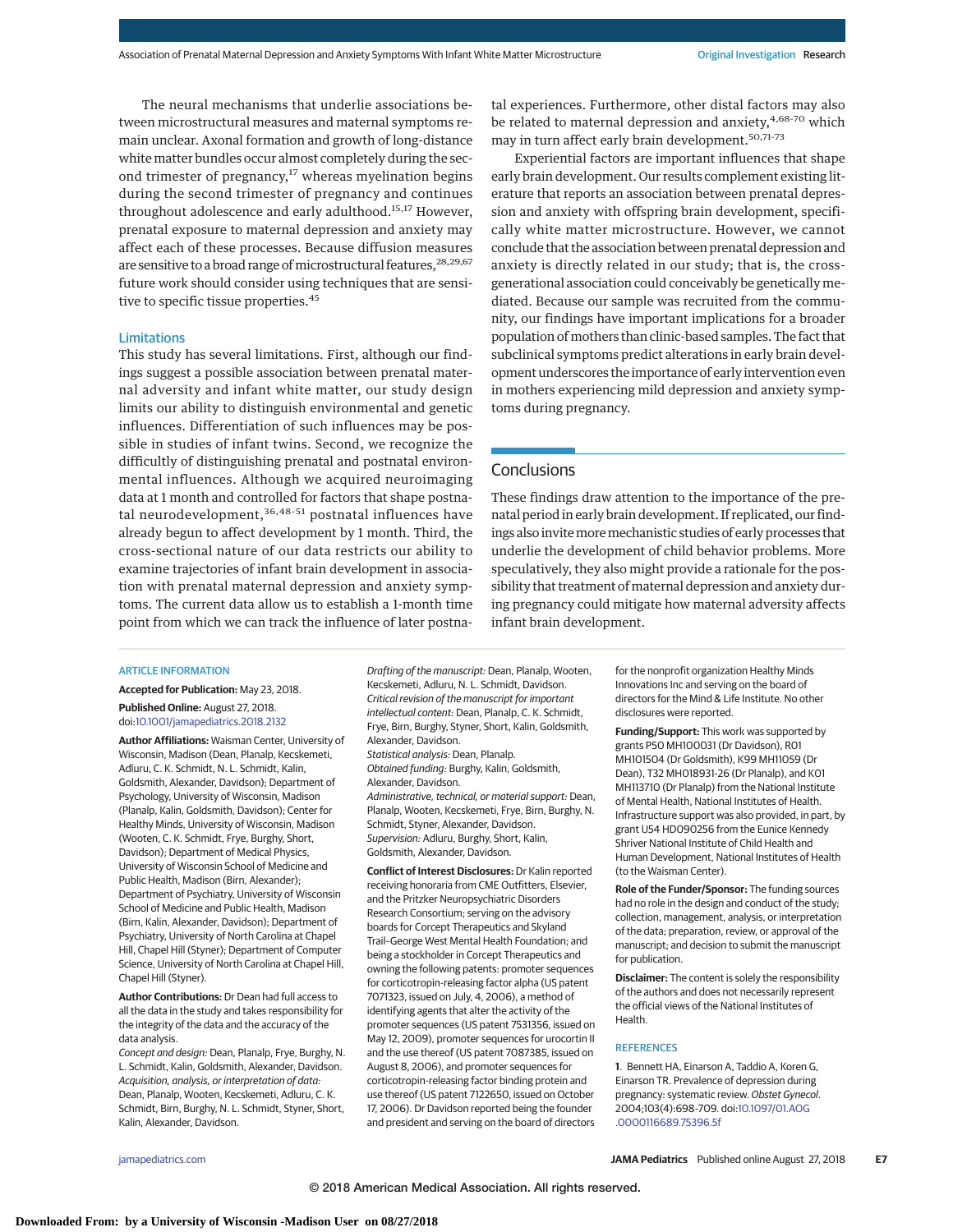The neural mechanisms that underlie associations between microstructural measures and maternal symptoms remain unclear. Axonal formation and growth of long-distance white matter bundles occur almost completely during the second trimester of pregnancy, $17$  whereas myelination begins during the second trimester of pregnancy and continues throughout adolescence and early adulthood.<sup>15,17</sup> However, prenatal exposure to maternal depression and anxiety may affect each of these processes. Because diffusion measures are sensitive to a broad range of microstructural features, <sup>28,29,67</sup> future work should consider using techniques that are sensitive to specific tissue properties.<sup>45</sup>

#### Limitations

This study has several limitations. First, although our findings suggest a possible association between prenatal maternal adversity and infant white matter, our study design limits our ability to distinguish environmental and genetic influences. Differentiation of such influences may be possible in studies of infant twins. Second, we recognize the difficultly of distinguishing prenatal and postnatal environmental influences. Although we acquired neuroimaging data at 1 month and controlled for factors that shape postnatal neurodevelopment,<sup>36,48-51</sup> postnatal influences have already begun to affect development by 1 month. Third, the cross-sectional nature of our data restricts our ability to examine trajectories of infant brain development in association with prenatal maternal depression and anxiety symptoms. The current data allow us to establish a 1-month time point from which we can track the influence of later postnatal experiences. Furthermore, other distal factors may also be related to maternal depression and anxiety,<sup>4,68-70</sup> which may in turn affect early brain development.<sup>50,71-73</sup>

Experiential factors are important influences that shape early brain development. Our results complement existing literature that reports an association between prenatal depression and anxiety with offspring brain development, specifically white matter microstructure. However, we cannot conclude that the association between prenatal depression and anxiety is directly related in our study; that is, the crossgenerational association could conceivably be genetically mediated. Because our sample was recruited from the community, our findings have important implications for a broader population ofmothers than clinic-based samples. The fact that subclinical symptoms predict alterations in early brain development underscores the importance of early intervention even in mothers experiencing mild depression and anxiety symptoms during pregnancy.

# **Conclusions**

These findings draw attention to the importance of the prenatal period in early brain development. If replicated, our findings also invite more mechanistic studies of early processes that underlie the development of child behavior problems. More speculatively, they also might provide a rationale for the possibility that treatment of maternal depression and anxiety during pregnancy could mitigate how maternal adversity affects infant brain development.

#### ARTICLE INFORMATION

**Accepted for Publication:** May 23, 2018. **Published Online:** August 27, 2018. doi[:10.1001/jamapediatrics.2018.2132](https://jama.jamanetwork.com/article.aspx?doi=10.1001/jamapediatrics.2018.2132&utm_campaign=articlePDF%26utm_medium=articlePDFlink%26utm_source=articlePDF%26utm_content=jamapediatrics.2018.2132)

**Author Affiliations:** Waisman Center, University of Wisconsin, Madison (Dean, Planalp, Kecskemeti, Adluru, C. K. Schmidt, N. L. Schmidt, Kalin, Goldsmith, Alexander, Davidson); Department of Psychology, University of Wisconsin, Madison (Planalp, Kalin, Goldsmith, Davidson); Center for Healthy Minds, University of Wisconsin, Madison (Wooten, C. K. Schmidt, Frye, Burghy, Short, Davidson); Department of Medical Physics, University of Wisconsin School of Medicine and Public Health, Madison (Birn, Alexander); Department of Psychiatry, University of Wisconsin School of Medicine and Public Health, Madison (Birn, Kalin, Alexander, Davidson); Department of Psychiatry, University of North Carolina at Chapel Hill, Chapel Hill (Styner); Department of Computer Science, University of North Carolina at Chapel Hill, Chapel Hill (Styner).

**Author Contributions:** Dr Dean had full access to all the data in the study and takes responsibility for the integrity of the data and the accuracy of the data analysis.

Concept and design: Dean, Planalp, Frye, Burghy, N. L. Schmidt, Kalin, Goldsmith, Alexander, Davidson. Acquisition, analysis, or interpretation of data: Dean, Planalp, Wooten, Kecskemeti, Adluru, C. K. Schmidt, Birn, Burghy, N. L. Schmidt, Styner, Short, Kalin, Alexander, Davidson.

Drafting of the manuscript: Dean, Planalp, Wooten, Kecskemeti, Adluru, N. L. Schmidt, Davidson. Critical revision of the manuscript for important intellectual content: Dean, Planalp, C. K. Schmidt, Frye, Birn, Burghy, Styner, Short, Kalin, Goldsmith, Alexander, Davidson. Statistical analysis: Dean, Planalp. Obtained funding: Burghy, Kalin, Goldsmith, Alexander, Davidson. Administrative, technical, or material support: Dean, Planalp, Wooten, Kecskemeti, Frye, Birn, Burghy, N. Schmidt, Styner, Alexander, Davidson. Supervision: Adluru, Burghy, Short, Kalin, Goldsmith, Alexander, Davidson.

**Conflict of Interest Disclosures:** Dr Kalin reported receiving honoraria from CME Outfitters, Elsevier, and the Pritzker Neuropsychiatric Disorders Research Consortium; serving on the advisory boards for Corcept Therapeutics and Skyland Trail–George West Mental Health Foundation; and being a stockholder in Corcept Therapeutics and owning the following patents: promoter sequences for corticotropin-releasing factor alpha (US patent 7071323, issued on July, 4, 2006), a method of identifying agents that alter the activity of the promoter sequences (US patent 7531356, issued on May 12, 2009), promoter sequences for urocortin II and the use thereof (US patent 7087385, issued on August 8, 2006), and promoter sequences for corticotropin-releasing factor binding protein and use thereof (US patent 7122650, issued on October 17, 2006). Dr Davidson reported being the founder and president and serving on the board of directors

for the nonprofit organization Healthy Minds Innovations Inc and serving on the board of directors for the Mind & Life Institute. No other disclosures were reported.

**Funding/Support:** This work was supported by grants P50 MH100031 (Dr Davidson), R01 MH101504 (Dr Goldsmith), K99 MH11059 (Dr Dean), T32 MH018931-26 (Dr Planalp), and K01 MH113710 (Dr Planalp) from the National Institute of Mental Health, National Institutes of Health. Infrastructure support was also provided, in part, by grant U54 HD090256 from the Eunice Kennedy Shriver National Institute of Child Health and Human Development, National Institutes of Health (to the Waisman Center).

**Role of the Funder/Sponsor:** The funding sources had no role in the design and conduct of the study; collection, management, analysis, or interpretation of the data; preparation, review, or approval of the manuscript; and decision to submit the manuscript for publication.

**Disclaimer:** The content is solely the responsibility of the authors and does not necessarily represent the official views of the National Institutes of Health.

### **REFERENCES**

**1**. Bennett HA, Einarson A, Taddio A, Koren G, Einarson TR. Prevalence of depression during pregnancy: systematic review. Obstet Gynecol. 2004;103(4):698-709. doi[:10.1097/01.AOG](https://dx.doi.org/10.1097/01.AOG.0000116689.75396.5f) [.0000116689.75396.5f](https://dx.doi.org/10.1097/01.AOG.0000116689.75396.5f)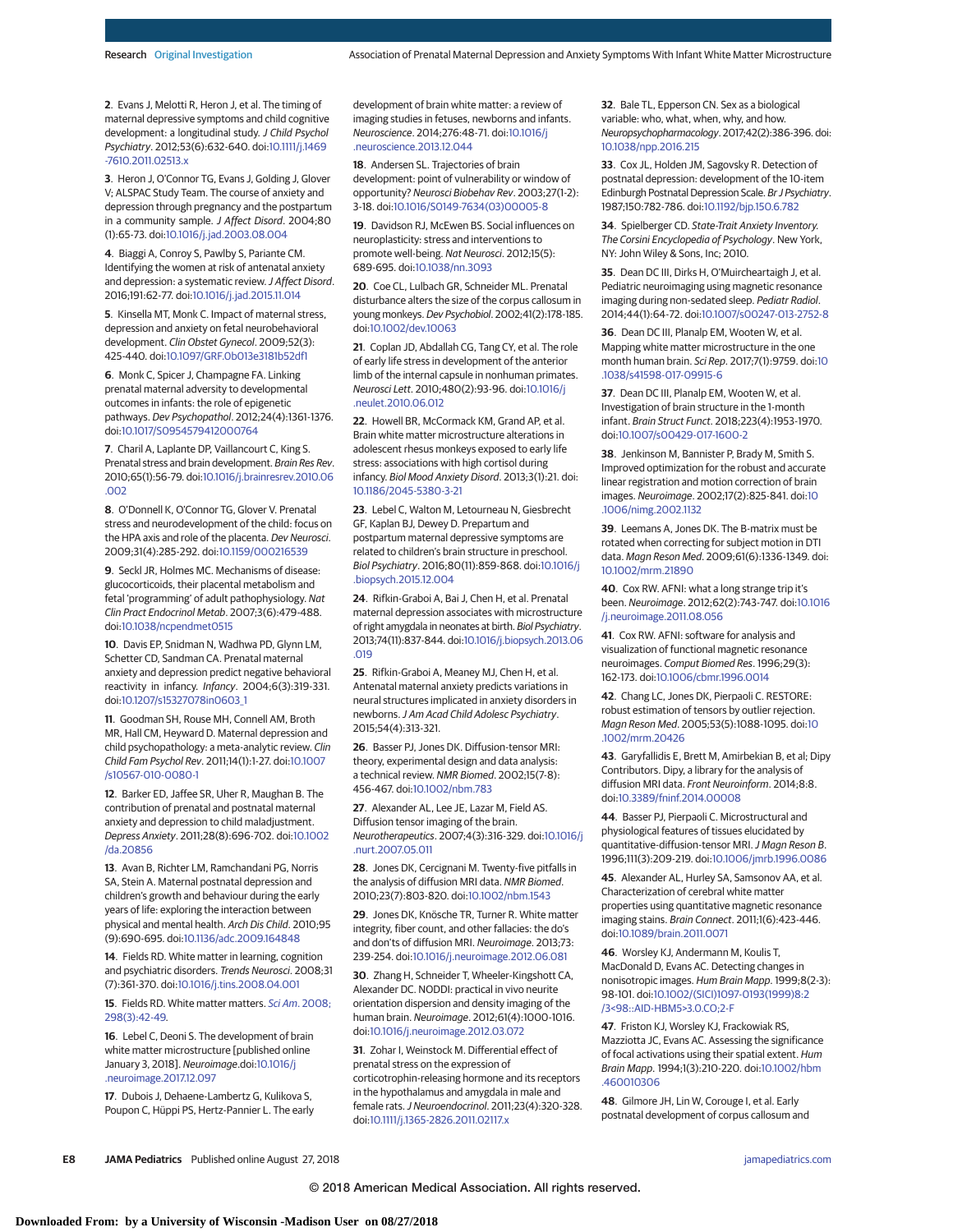**2**. Evans J, Melotti R, Heron J, et al. The timing of maternal depressive symptoms and child cognitive development: a longitudinal study. J Child Psychol Psychiatry. 2012;53(6):632-640. doi[:10.1111/j.1469](https://dx.doi.org/10.1111/j.1469-7610.2011.02513.x) [-7610.2011.02513.x](https://dx.doi.org/10.1111/j.1469-7610.2011.02513.x)

**3**. Heron J, O'Connor TG, Evans J, Golding J, Glover V; ALSPAC Study Team. The course of anxiety and depression through pregnancy and the postpartum in a community sample. J Affect Disord. 2004;80 (1):65-73. doi[:10.1016/j.jad.2003.08.004](https://dx.doi.org/10.1016/j.jad.2003.08.004)

**4**. Biaggi A, Conroy S, Pawlby S, Pariante CM. Identifying the women at risk of antenatal anxiety and depression: a systematic review. J Affect Disord. 2016;191:62-77. doi[:10.1016/j.jad.2015.11.014](https://dx.doi.org/10.1016/j.jad.2015.11.014)

**5**. Kinsella MT, Monk C. Impact of maternal stress, depression and anxiety on fetal neurobehavioral development. Clin Obstet Gynecol. 2009;52(3): 425-440. doi[:10.1097/GRF.0b013e3181b52df1](https://dx.doi.org/10.1097/GRF.0b013e3181b52df1)

**6**. Monk C, Spicer J, Champagne FA. Linking prenatal maternal adversity to developmental outcomes in infants: the role of epigenetic pathways. Dev Psychopathol. 2012;24(4):1361-1376. doi[:10.1017/S0954579412000764](https://dx.doi.org/10.1017/S0954579412000764)

**7**. Charil A, Laplante DP, Vaillancourt C, King S. Prenatal stress and brain development. Brain Res Rev. 2010;65(1):56-79. doi[:10.1016/j.brainresrev.2010.06](https://dx.doi.org/10.1016/j.brainresrev.2010.06.002) [.002](https://dx.doi.org/10.1016/j.brainresrev.2010.06.002)

**8**. O'Donnell K, O'Connor TG, Glover V. Prenatal stress and neurodevelopment of the child: focus on the HPA axis and role of the placenta. Dev Neurosci. 2009;31(4):285-292. doi[:10.1159/000216539](https://dx.doi.org/10.1159/000216539)

**9**. Seckl JR, Holmes MC. Mechanisms of disease: glucocorticoids, their placental metabolism and fetal 'programming' of adult pathophysiology. Nat Clin Pract Endocrinol Metab. 2007;3(6):479-488. doi[:10.1038/ncpendmet0515](https://dx.doi.org/10.1038/ncpendmet0515)

**10**. Davis EP, Snidman N, Wadhwa PD, Glynn LM, Schetter CD, Sandman CA. Prenatal maternal anxiety and depression predict negative behavioral reactivity in infancy. Infancy. 2004;6(3):319-331. doi[:10.1207/s15327078in0603\\_1](https://dx.doi.org/10.1207/s15327078in0603_1)

**11**. Goodman SH, Rouse MH, Connell AM, Broth MR, Hall CM, Heyward D. Maternal depression and child psychopathology: a meta-analytic review. Clin Child Fam Psychol Rev. 2011;14(1):1-27. doi[:10.1007](https://dx.doi.org/10.1007/s10567-010-0080-1) [/s10567-010-0080-1](https://dx.doi.org/10.1007/s10567-010-0080-1)

**12**. Barker ED, Jaffee SR, Uher R, Maughan B. The contribution of prenatal and postnatal maternal anxiety and depression to child maladjustment. Depress Anxiety. 2011;28(8):696-702. doi[:10.1002](https://dx.doi.org/10.1002/da.20856) [/da.20856](https://dx.doi.org/10.1002/da.20856)

**13**. Avan B, Richter LM, Ramchandani PG, Norris SA, Stein A. Maternal postnatal depression and children's growth and behaviour during the early years of life: exploring the interaction between physical and mental health. Arch Dis Child. 2010;95 (9):690-695. doi[:10.1136/adc.2009.164848](https://dx.doi.org/10.1136/adc.2009.164848)

**14**. Fields RD. White matter in learning, cognition and psychiatric disorders. Trends Neurosci. 2008;31 (7):361-370. doi[:10.1016/j.tins.2008.04.001](https://dx.doi.org/10.1016/j.tins.2008.04.001)

**15**. Fields RD. White matter matters. Sci Am[. 2008;](https://www.ncbi.nlm.nih.gov/pubmed/18357821) [298\(3\):42-49.](https://www.ncbi.nlm.nih.gov/pubmed/18357821)

**16**. Lebel C, Deoni S. The development of brain white matter microstructure [published online January 3, 2018]. Neuroimage.doi[:10.1016/j](https://dx.doi.org/10.1016/j.neuroimage.2017.12.097) [.neuroimage.2017.12.097](https://dx.doi.org/10.1016/j.neuroimage.2017.12.097)

**17**. Dubois J, Dehaene-Lambertz G, Kulikova S, Poupon C, Hüppi PS, Hertz-Pannier L. The early development of brain white matter: a review of imaging studies in fetuses, newborns and infants. Neuroscience. 2014;276:48-71. doi[:10.1016/j](https://dx.doi.org/10.1016/j.neuroscience.2013.12.044) [.neuroscience.2013.12.044](https://dx.doi.org/10.1016/j.neuroscience.2013.12.044)

**18**. Andersen SL. Trajectories of brain development: point of vulnerability or window of opportunity? Neurosci Biobehav Rev. 2003;27(1-2): 3-18. doi[:10.1016/S0149-7634\(03\)00005-8](https://dx.doi.org/10.1016/S0149-7634(03)00005-8)

**19**. Davidson RJ, McEwen BS. Social influences on neuroplasticity: stress and interventions to promote well-being. Nat Neurosci. 2012;15(5): 689-695. doi[:10.1038/nn.3093](https://dx.doi.org/10.1038/nn.3093)

**20**. Coe CL, Lulbach GR, Schneider ML. Prenatal disturbance alters the size of the corpus callosum in young monkeys. Dev Psychobiol. 2002;41(2):178-185. doi[:10.1002/dev.10063](https://dx.doi.org/10.1002/dev.10063)

**21**. Coplan JD, Abdallah CG, Tang CY, et al. The role of early life stress in development of the anterior limb of the internal capsule in nonhuman primates. Neurosci Lett. 2010;480(2):93-96. doi[:10.1016/j](https://dx.doi.org/10.1016/j.neulet.2010.06.012) [.neulet.2010.06.012](https://dx.doi.org/10.1016/j.neulet.2010.06.012)

**22**. Howell BR, McCormack KM, Grand AP, et al. Brain white matter microstructure alterations in adolescent rhesus monkeys exposed to early life stress: associations with high cortisol during infancy. Biol Mood Anxiety Disord. 2013;3(1):21. doi: [10.1186/2045-5380-3-21](https://dx.doi.org/10.1186/2045-5380-3-21)

**23**. Lebel C, Walton M, Letourneau N, Giesbrecht GF, Kaplan BJ, Dewey D. Prepartum and postpartum maternal depressive symptoms are related to children's brain structure in preschool. Biol Psychiatry. 2016;80(11):859-868. doi[:10.1016/j](https://dx.doi.org/10.1016/j.biopsych.2015.12.004) [.biopsych.2015.12.004](https://dx.doi.org/10.1016/j.biopsych.2015.12.004)

**24**. Rifkin-Graboi A, Bai J, Chen H, et al. Prenatal maternal depression associates with microstructure of right amygdala in neonates at birth. Biol Psychiatry. 2013;74(11):837-844. doi[:10.1016/j.biopsych.2013.06](https://dx.doi.org/10.1016/j.biopsych.2013.06.019) [.019](https://dx.doi.org/10.1016/j.biopsych.2013.06.019)

**25**. Rifkin-Graboi A, Meaney MJ, Chen H, et al. Antenatal maternal anxiety predicts variations in neural structures implicated in anxiety disorders in newborns.J Am Acad Child Adolesc Psychiatry. 2015;54(4):313-321.

**26**. Basser PJ, Jones DK. Diffusion-tensor MRI: theory, experimental design and data analysis: a technical review. NMR Biomed. 2002;15(7-8): 456-467. doi[:10.1002/nbm.783](https://dx.doi.org/10.1002/nbm.783)

**27**. Alexander AL, Lee JE, Lazar M, Field AS. Diffusion tensor imaging of the brain. Neurotherapeutics. 2007;4(3):316-329. doi[:10.1016/j](https://dx.doi.org/10.1016/j.nurt.2007.05.011) [.nurt.2007.05.011](https://dx.doi.org/10.1016/j.nurt.2007.05.011)

**28**. Jones DK, Cercignani M. Twenty-five pitfalls in the analysis of diffusion MRI data. NMR Biomed. 2010;23(7):803-820. doi[:10.1002/nbm.1543](https://dx.doi.org/10.1002/nbm.1543)

**29**. Jones DK, Knösche TR, Turner R. White matter integrity, fiber count, and other fallacies: the do's and don'ts of diffusion MRI. Neuroimage. 2013;73: 239-254. doi[:10.1016/j.neuroimage.2012.06.081](https://dx.doi.org/10.1016/j.neuroimage.2012.06.081)

**30**. Zhang H, Schneider T, Wheeler-Kingshott CA, Alexander DC. NODDI: practical in vivo neurite orientation dispersion and density imaging of the human brain. Neuroimage. 2012;61(4):1000-1016. doi[:10.1016/j.neuroimage.2012.03.072](https://dx.doi.org/10.1016/j.neuroimage.2012.03.072)

**31**. Zohar I, Weinstock M. Differential effect of prenatal stress on the expression of corticotrophin-releasing hormone and its receptors in the hypothalamus and amygdala in male and female rats.J Neuroendocrinol. 2011;23(4):320-328. doi[:10.1111/j.1365-2826.2011.02117.x](https://dx.doi.org/10.1111/j.1365-2826.2011.02117.x)

**32**. Bale TL, Epperson CN. Sex as a biological variable: who, what, when, why, and how. Neuropsychopharmacology. 2017;42(2):386-396. doi: [10.1038/npp.2016.215](https://dx.doi.org/10.1038/npp.2016.215)

**33**. Cox JL, Holden JM, Sagovsky R. Detection of postnatal depression: development of the 10-item Edinburgh Postnatal Depression Scale. Br J Psychiatry. 1987;150:782-786. doi[:10.1192/bjp.150.6.782](https://dx.doi.org/10.1192/bjp.150.6.782)

**34**. Spielberger CD. State-Trait Anxiety Inventory. The Corsini Encyclopedia of Psychology. New York, NY: John Wiley & Sons, Inc; 2010.

**35**. Dean DC III, Dirks H, O'Muircheartaigh J, et al. Pediatric neuroimaging using magnetic resonance imaging during non-sedated sleep. Pediatr Radiol. 2014;44(1):64-72. doi[:10.1007/s00247-013-2752-8](https://dx.doi.org/10.1007/s00247-013-2752-8)

**36**. Dean DC III, Planalp EM, Wooten W, et al. Mapping white matter microstructure in the one month human brain. Sci Rep. 2017;7(1):9759. doi[:10](https://dx.doi.org/10.1038/s41598-017-09915-6) [.1038/s41598-017-09915-6](https://dx.doi.org/10.1038/s41598-017-09915-6)

**37**. Dean DC III, Planalp EM, Wooten W, et al. Investigation of brain structure in the 1-month infant. Brain Struct Funct. 2018;223(4):1953-1970. doi[:10.1007/s00429-017-1600-2](https://dx.doi.org/10.1007/s00429-017-1600-2)

**38**. Jenkinson M, Bannister P, Brady M, Smith S. Improved optimization for the robust and accurate linear registration and motion correction of brain images. Neuroimage. 2002;17(2):825-841. doi[:10](https://dx.doi.org/10.1006/nimg.2002.1132) [.1006/nimg.2002.1132](https://dx.doi.org/10.1006/nimg.2002.1132)

**39**. Leemans A, Jones DK. The B-matrix must be rotated when correcting for subject motion in DTI data. Magn Reson Med. 2009;61(6):1336-1349. doi: [10.1002/mrm.21890](https://dx.doi.org/10.1002/mrm.21890)

**40**. Cox RW. AFNI: what a long strange trip it's been. Neuroimage. 2012;62(2):743-747. doi[:10.1016](https://dx.doi.org/10.1016/j.neuroimage.2011.08.056) [/j.neuroimage.2011.08.056](https://dx.doi.org/10.1016/j.neuroimage.2011.08.056)

**41**. Cox RW. AFNI: software for analysis and visualization of functional magnetic resonance neuroimages. Comput Biomed Res. 1996;29(3): 162-173. doi[:10.1006/cbmr.1996.0014](https://dx.doi.org/10.1006/cbmr.1996.0014)

**42**. Chang LC, Jones DK, Pierpaoli C. RESTORE: robust estimation of tensors by outlier rejection. Magn Reson Med. 2005;53(5):1088-1095. doi[:10](https://dx.doi.org/10.1002/mrm.20426) [.1002/mrm.20426](https://dx.doi.org/10.1002/mrm.20426)

**43**. Garyfallidis E, Brett M, Amirbekian B, et al; Dipy Contributors. Dipy, a library for the analysis of diffusion MRI data. Front Neuroinform. 2014;8:8. doi[:10.3389/fninf.2014.00008](https://dx.doi.org/10.3389/fninf.2014.00008)

**44**. Basser PJ, Pierpaoli C. Microstructural and physiological features of tissues elucidated by quantitative-diffusion-tensor MRI.J Magn Reson B. 1996;111(3):209-219. doi[:10.1006/jmrb.1996.0086](https://dx.doi.org/10.1006/jmrb.1996.0086)

**45**. Alexander AL, Hurley SA, Samsonov AA, et al. Characterization of cerebral white matter properties using quantitative magnetic resonance imaging stains. Brain Connect. 2011;1(6):423-446. doi[:10.1089/brain.2011.0071](https://dx.doi.org/10.1089/brain.2011.0071)

**46**. Worsley KJ, Andermann M, Koulis T, MacDonald D, Evans AC. Detecting changes in nonisotropic images. Hum Brain Mapp. 1999;8(2-3): 98-101. doi[:10.1002/\(SICI\)1097-0193\(1999\)8:2](https://dx.doi.org/10.1002/(SICI)1097-0193(1999)8:2/3%3C98::AID-HBM5%3E3.0.CO;2-F) [/3<98::AID-HBM5>3.0.CO;2-F](https://dx.doi.org/10.1002/(SICI)1097-0193(1999)8:2/3%3C98::AID-HBM5%3E3.0.CO;2-F)

**47**. Friston KJ, Worsley KJ, Frackowiak RS, Mazziotta JC, Evans AC. Assessing the significance of focal activations using their spatial extent. Hum Brain Mapp. 1994;1(3):210-220. doi[:10.1002/hbm](https://dx.doi.org/10.1002/hbm.460010306) [.460010306](https://dx.doi.org/10.1002/hbm.460010306)

**48**. Gilmore JH, Lin W, Corouge I, et al. Early postnatal development of corpus callosum and